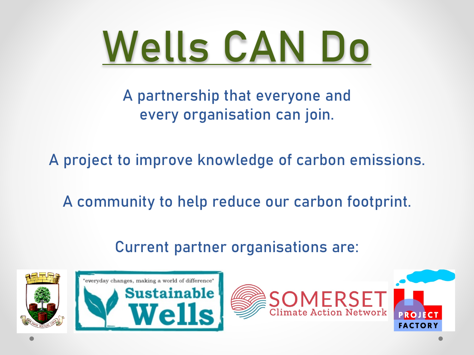

A partnership that everyone and every organisation can join.

A project to improve knowledge of carbon emissions.

A community to help reduce our carbon footprint.

Current partner organisations are:

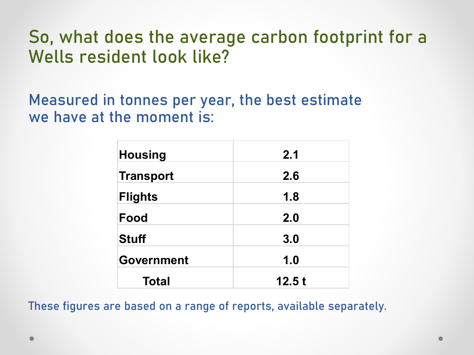#### So, what does the average carbon footprint for a Wells resident look like?

Measured in tonnes per year, the best estimate we have at the moment is:

| <b>Housing</b>    | 2.1   |
|-------------------|-------|
| Transport         | 2.6   |
| Flights           | 1.8   |
| Food              | 2.0   |
| <b>Stuff</b>      | 3.0   |
| <b>Government</b> | 1.0   |
| <b>Total</b>      | 12.5t |

These figures are based on a range of reports, available separately.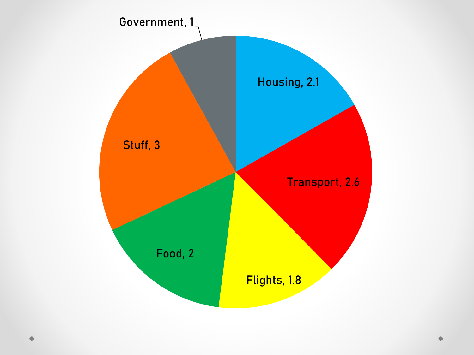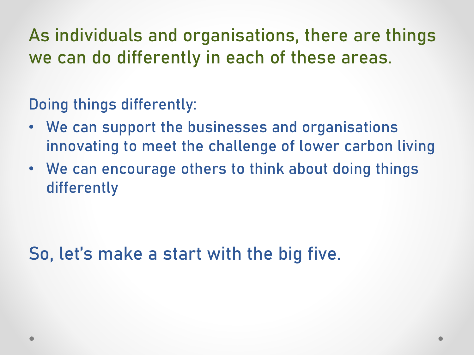As individuals and organisations, there are things we can do differently in each of these areas.

Doing things differently:

- We can support the businesses and organisations innovating to meet the challenge of lower carbon living
- We can encourage others to think about doing things differently

So, let's make a start with the big five.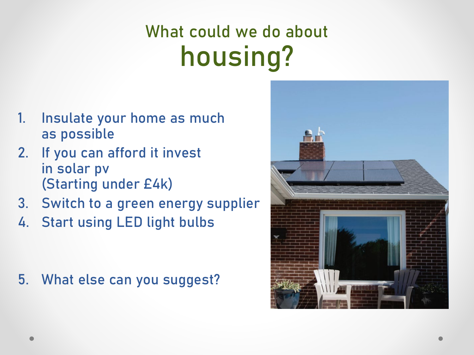### What could we do about housing?

- 1. Insulate your home as much as possible
- 2. If you can afford it invest in solar pv (Starting under £4k)
- 3. Switch to a green energy supplier
- 4. Start using LED light bulbs

5. What else can you suggest?

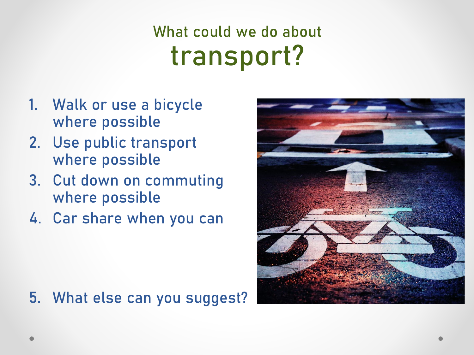#### What could we do about transport?

- 1. Walk or use a bicycle where possible
- 2. Use public transport where possible
- 3. Cut down on commuting where possible
- 4. Car share when you can



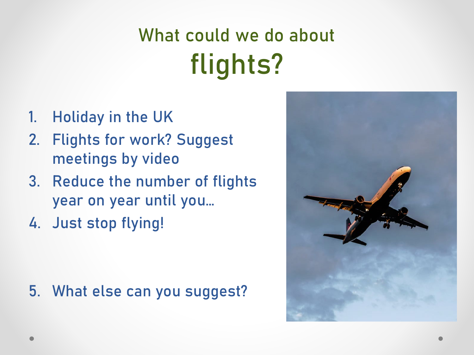## What could we do about flights?

- 1. Holiday in the UK
- 2. Flights for work? Suggest meetings by video
- 3. Reduce the number of flights year on year until you…
- 4. Just stop flying!

5. What else can you suggest?

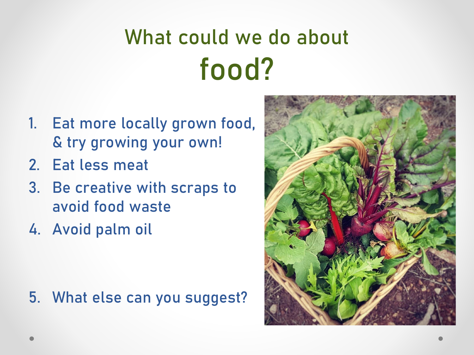# What could we do about food?

- 1. Eat more locally grown food, & try growing your own!
- 2. Eat less meat
- 3. Be creative with scraps to avoid food waste
- 4. Avoid palm oil

5. What else can you suggest?

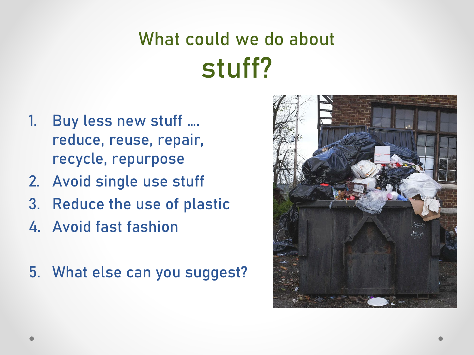## What could we do about stuff?

- 1. Buy less new stuff …. reduce, reuse, repair, recycle, repurpose
- 2. Avoid single use stuff
- 3. Reduce the use of plastic
- 4. Avoid fast fashion
- 5. What else can you suggest?